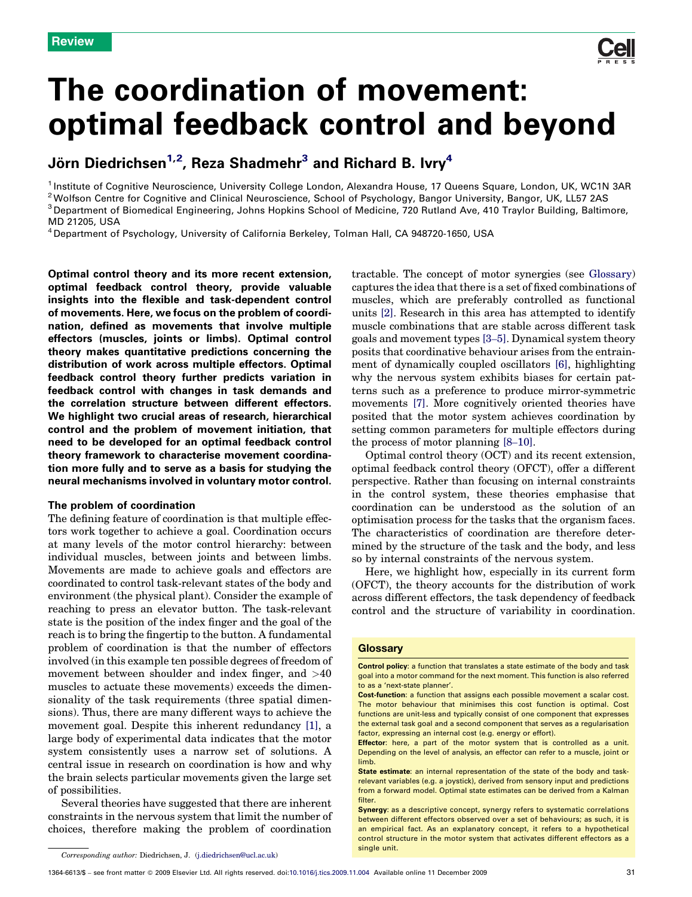

# The coordination of movement: optimal feedback control and beyond

Jörn Diedrichsen $^{1,2}$ , Reza Shadmehr $^3$  and Richard B. Ivry $^4$ 

<sup>1</sup> Institute of Cognitive Neuroscience, University College London, Alexandra House, 17 Queens Square, London, UK, WC1N 3AR <sup>2</sup> Wolfson Centre for Cognitive and Clinical Neuroscience, School of Psychology, Bangor University, Bangor, UK, LL57 2AS <sup>3</sup> Department of Biomedical Engineering, Johns Hopkins School of Medicine, 720 Rutland Ave, 410 Traylor Building, Baltimore, MD 21205, USA

<sup>4</sup> Department of Psychology, University of California Berkeley, Tolman Hall, CA 948720-1650, USA

Optimal control theory and its more recent extension, optimal feedback control theory, provide valuable insights into the flexible and task-dependent control of movements. Here, we focus on the problem of coordination, defined as movements that involve multiple effectors (muscles, joints or limbs). Optimal control theory makes quantitative predictions concerning the distribution of work across multiple effectors. Optimal feedback control theory further predicts variation in feedback control with changes in task demands and the correlation structure between different effectors. We highlight two crucial areas of research, hierarchical control and the problem of movement initiation, that need to be developed for an optimal feedback control theory framework to characterise movement coordination more fully and to serve as a basis for studying the neural mechanisms involved in voluntary motor control.

# The problem of coordination

The defining feature of coordination is that multiple effectors work together to achieve a goal. Coordination occurs at many levels of the motor control hierarchy: between individual muscles, between joints and between limbs. Movements are made to achieve goals and effectors are coordinated to control task-relevant states of the body and environment (the physical plant). Consider the example of reaching to press an elevator button. The task-relevant state is the position of the index finger and the goal of the reach is to bring the fingertip to the button. A fundamental problem of coordination is that the number of effectors involved (in this example ten possible degrees of freedom of movement between shoulder and index finger, and >40 muscles to actuate these movements) exceeds the dimensionality of the task requirements (three spatial dimensions). Thus, there are many different ways to achieve the movement goal. Despite this inherent redundancy [\[1\],](#page-7-0) a large body of experimental data indicates that the motor system consistently uses a narrow set of solutions. A central issue in research on coordination is how and why the brain selects particular movements given the large set of possibilities.

Several theories have suggested that there are inherent constraints in the nervous system that limit the number of choices, therefore making the problem of coordination

tractable. The concept of motor synergies (see Glossary) captures the idea that there is a set of fixed combinations of muscles, which are preferably controlled as functional units [\[2\]](#page-7-0). Research in this area has attempted to identify muscle combinations that are stable across different task goals and movement types [\[3](#page-7-0)–5]. Dynamical system theory posits that coordinative behaviour arises from the entrainment of dynamically coupled oscillators [\[6\],](#page-7-0) highlighting why the nervous system exhibits biases for certain patterns such as a preference to produce mirror-symmetric movements [\[7\].](#page-7-0) More cognitively oriented theories have posited that the motor system achieves coordination by setting common parameters for multiple effectors during the process of motor planning [8–[10\].](#page-7-0)

Optimal control theory (OCT) and its recent extension, optimal feedback control theory (OFCT), offer a different perspective. Rather than focusing on internal constraints in the control system, these theories emphasise that coordination can be understood as the solution of an optimisation process for the tasks that the organism faces. The characteristics of coordination are therefore determined by the structure of the task and the body, and less so by internal constraints of the nervous system.

Here, we highlight how, especially in its current form (OFCT), the theory accounts for the distribution of work across different effectors, the task dependency of feedback control and the structure of variability in coordination.

#### **Glossary**

Control policy: a function that translates a state estimate of the body and task goal into a motor command for the next moment. This function is also referred to as a 'next-state planner'.

Cost-function: a function that assigns each possible movement a scalar cost. The motor behaviour that minimises this cost function is optimal. Cost functions are unit-less and typically consist of one component that expresses the external task goal and a second component that serves as a regularisation factor, expressing an internal cost (e.g. energy or effort).

Effector: here, a part of the motor system that is controlled as a unit. Depending on the level of analysis, an effector can refer to a muscle, joint or limb.

State estimate: an internal representation of the state of the body and taskrelevant variables (e.g. a joystick), derived from sensory input and predictions from a forward model. Optimal state estimates can be derived from a Kalman filter.

Synergy: as a descriptive concept, synergy refers to systematic correlations between different effectors observed over a set of behaviours; as such, it is an empirical fact. As an explanatory concept, it refers to a hypothetical control structure in the motor system that activates different effectors as a

single unit. Corresponding author: Diedrichsen, J. ([j.diedrichsen@ucl.ac.uk\)](mailto:j.diedrichsen@ucl.ac.uk)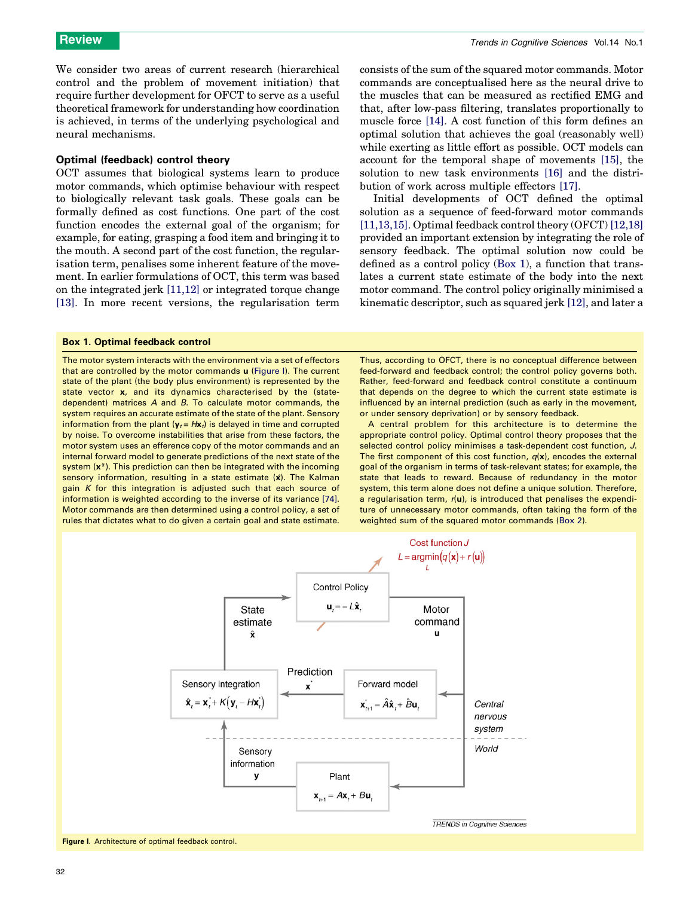We consider two areas of current research (hierarchical control and the problem of movement initiation) that require further development for OFCT to serve as a useful theoretical framework for understanding how coordination is achieved, in terms of the underlying psychological and neural mechanisms.

# Optimal (feedback) control theory

OCT assumes that biological systems learn to produce motor commands, which optimise behaviour with respect to biologically relevant task goals. These goals can be formally defined as cost functions. One part of the cost function encodes the external goal of the organism; for example, for eating, grasping a food item and bringing it to the mouth. A second part of the cost function, the regularisation term, penalises some inherent feature of the movement. In earlier formulations of OCT, this term was based on the integrated jerk [\[11,12\]](#page-7-0) or integrated torque change [\[13\]](#page-7-0). In more recent versions, the regularisation term consists of the sum of the squared motor commands. Motor commands are conceptualised here as the neural drive to the muscles that can be measured as rectified EMG and that, after low-pass filtering, translates proportionally to muscle force [\[14\]](#page-7-0). A cost function of this form defines an optimal solution that achieves the goal (reasonably well) while exerting as little effort as possible. OCT models can account for the temporal shape of movements [\[15\]](#page-7-0), the solution to new task environments [\[16\]](#page-7-0) and the distribution of work across multiple effectors [\[17\].](#page-7-0)

Initial developments of OCT defined the optimal solution as a sequence of feed-forward motor commands [\[11,13,15\]](#page-7-0). Optimal feedback control theory (OFCT) [\[12,18\]](#page-7-0) provided an important extension by integrating the role of sensory feedback. The optimal solution now could be defined as a control policy (Box 1), a function that translates a current state estimate of the body into the next motor command. The control policy originally minimised a kinematic descriptor, such as squared jerk [\[12\],](#page-7-0) and later a

# Box 1. Optimal feedback control

The motor system interacts with the environment via a set of effectors that are controlled by the motor commands u (Figure I). The current state of the plant (the body plus environment) is represented by the state vector x, and its dynamics characterised by the (statedependent) matrices A and B. To calculate motor commands, the system requires an accurate estimate of the state of the plant. Sensory information from the plant  $(y_t = Hx_t)$  is delayed in time and corrupted by noise. To overcome instabilities that arise from these factors, the motor system uses an efference copy of the motor commands and an internal forward model to generate predictions of the next state of the system ( $x^*$ ). This prediction can then be integrated with the incoming sensory information, resulting in a state estimate  $(x)$ . The Kalman gain  $K$  for this integration is adjusted such that each source of information is weighted according to the inverse of its variance [\[74\].](#page-8-0) Motor commands are then determined using a control policy, a set of rules that dictates what to do given a certain goal and state estimate.

Thus, according to OFCT, there is no conceptual difference between feed-forward and feedback control; the control policy governs both. Rather, feed-forward and feedback control constitute a continuum that depends on the degree to which the current state estimate is influenced by an internal prediction (such as early in the movement, or under sensory deprivation) or by sensory feedback.

A central problem for this architecture is to determine the appropriate control policy. Optimal control theory proposes that the selected control policy minimises a task-dependent cost function, J. The first component of this cost function,  $q(x)$ , encodes the external goal of the organism in terms of task-relevant states; for example, the state that leads to reward. Because of redundancy in the motor system, this term alone does not define a unique solution. Therefore, a regularisation term,  $r(u)$ , is introduced that penalises the expenditure of unnecessary motor commands, often taking the form of the weighted sum of the squared motor commands [\(Box 2](#page-3-0)).



Figure I. Architecture of optimal feedback control.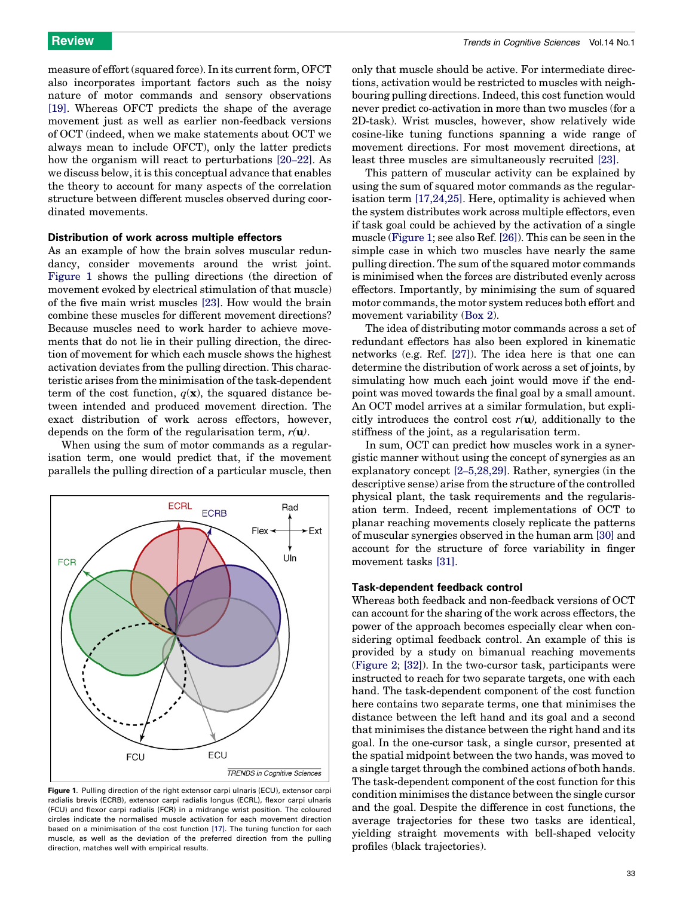measure of effort (squared force). In its current form, OFCT also incorporates important factors such as the noisy nature of motor commands and sensory observations [\[19\]](#page-7-0). Whereas OFCT predicts the shape of the average movement just as well as earlier non-feedback versions of OCT (indeed, when we make statements about OCT we always mean to include OFCT), only the latter predicts how the organism will react to perturbations [\[20](#page-7-0)–22]. As we discuss below, it is this conceptual advance that enables the theory to account for many aspects of the correlation structure between different muscles observed during coordinated movements.

# Distribution of work across multiple effectors

As an example of how the brain solves muscular redundancy, consider movements around the wrist joint. Figure 1 shows the pulling directions (the direction of movement evoked by electrical stimulation of that muscle) of the five main wrist muscles [\[23\].](#page-7-0) How would the brain combine these muscles for different movement directions? Because muscles need to work harder to achieve movements that do not lie in their pulling direction, the direction of movement for which each muscle shows the highest activation deviates from the pulling direction. This characteristic arises from the minimisation of the task-dependent term of the cost function,  $q(\mathbf{x})$ , the squared distance between intended and produced movement direction. The exact distribution of work across effectors, however, depends on the form of the regularisation term,  $r(\mathbf{u})$ .

When using the sum of motor commands as a regularisation term, one would predict that, if the movement parallels the pulling direction of a particular muscle, then



Figure 1. Pulling direction of the right extensor carpi ulnaris (ECU), extensor carpi radialis brevis (ECRB), extensor carpi radialis longus (ECRL), flexor carpi ulnaris (FCU) and flexor carpi radialis (FCR) in a midrange wrist position. The coloured circles indicate the normalised muscle activation for each movement direction based on a minimisation of the cost function [\[17\].](#page-7-0) The tuning function for each muscle, as well as the deviation of the preferred direction from the pulling direction, matches well with empirical results.

only that muscle should be active. For intermediate directions, activation would be restricted to muscles with neighbouring pulling directions. Indeed, this cost function would never predict co-activation in more than two muscles (for a 2D-task). Wrist muscles, however, show relatively wide cosine-like tuning functions spanning a wide range of movement directions. For most movement directions, at least three muscles are simultaneously recruited [\[23\].](#page-7-0)

This pattern of muscular activity can be explained by using the sum of squared motor commands as the regularisation term [\[17,24,25\].](#page-7-0) Here, optimality is achieved when the system distributes work across multiple effectors, even if task goal could be achieved by the activation of a single muscle (Figure 1; see also Ref. [\[26\]](#page-7-0)). This can be seen in the simple case in which two muscles have nearly the same pulling direction. The sum of the squared motor commands is minimised when the forces are distributed evenly across effectors. Importantly, by minimising the sum of squared motor commands, the motor system reduces both effort and movement variability ([Box 2](#page-3-0)).

The idea of distributing motor commands across a set of redundant effectors has also been explored in kinematic networks (e.g. Ref. [\[27\]](#page-7-0)). The idea here is that one can determine the distribution of work across a set of joints, by simulating how much each joint would move if the endpoint was moved towards the final goal by a small amount. An OCT model arrives at a similar formulation, but explicitly introduces the control cost  $r(\mathbf{u})$ , additionally to the stiffness of the joint, as a regularisation term.

In sum, OCT can predict how muscles work in a synergistic manner without using the concept of synergies as an explanatory concept [2–[5,28,29\].](#page-7-0) Rather, synergies (in the descriptive sense) arise from the structure of the controlled physical plant, the task requirements and the regularisation term. Indeed, recent implementations of OCT to planar reaching movements closely replicate the patterns of muscular synergies observed in the human arm [\[30\]](#page-7-0) and account for the structure of force variability in finger movement tasks [\[31\].](#page-7-0)

# Task-dependent feedback control

Whereas both feedback and non-feedback versions of OCT can account for the sharing of the work across effectors, the power of the approach becomes especially clear when considering optimal feedback control. An example of this is provided by a study on bimanual reaching movements ([Figure 2;](#page-4-0) [\[32\]\)](#page-7-0). In the two-cursor task, participants were instructed to reach for two separate targets, one with each hand. The task-dependent component of the cost function here contains two separate terms, one that minimises the distance between the left hand and its goal and a second that minimises the distance between the right hand and its goal. In the one-cursor task, a single cursor, presented at the spatial midpoint between the two hands, was moved to a single target through the combined actions of both hands. The task-dependent component of the cost function for this condition minimises the distance between the single cursor and the goal. Despite the difference in cost functions, the average trajectories for these two tasks are identical, yielding straight movements with bell-shaped velocity profiles (black trajectories).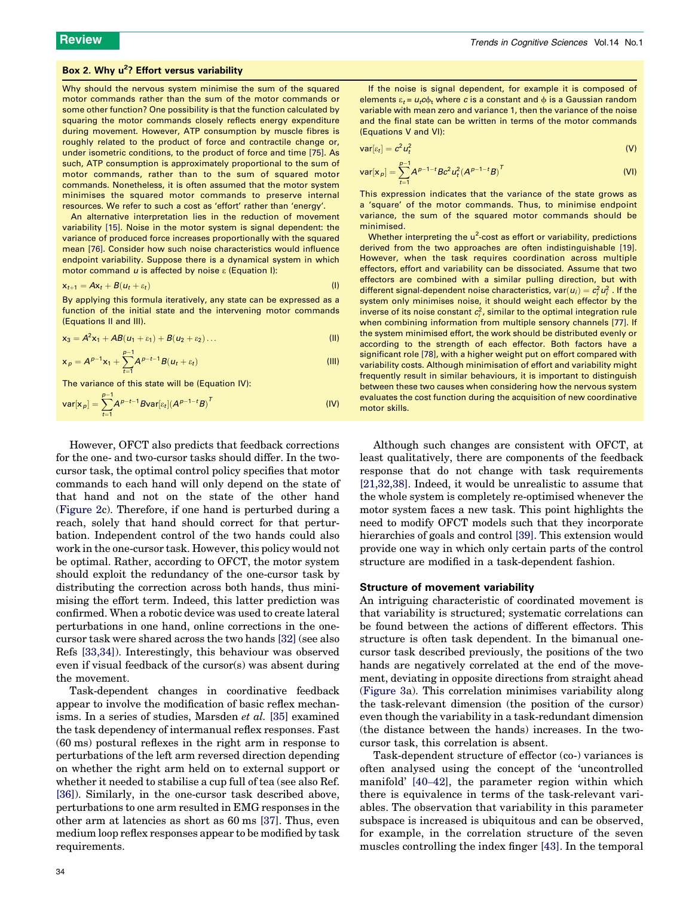# <span id="page-3-0"></span>Box 2. Why u<sup>2</sup>? Effort versus variability

Why should the nervous system minimise the sum of the squared motor commands rather than the sum of the motor commands or some other function? One possibility is that the function calculated by squaring the motor commands closely reflects energy expenditure during movement. However, ATP consumption by muscle fibres is roughly related to the product of force and contractile change or, under isometric conditions, to the product of force and time [\[75\].](#page-8-0) As such, ATP consumption is approximately proportional to the sum of motor commands, rather than to the sum of squared motor commands. Nonetheless, it is often assumed that the motor system minimises the squared motor commands to preserve internal resources. We refer to such a cost as 'effort' rather than 'energy'.

An alternative interpretation lies in the reduction of movement variability [\[15\].](#page-7-0) Noise in the motor system is signal dependent: the variance of produced force increases proportionally with the squared mean [\[76\]](#page-8-0). Consider how such noise characteristics would influence endpoint variability. Suppose there is a dynamical system in which motor command  $u$  is affected by noise  $\varepsilon$  (Equation I):

$$
\mathbf{x}_{t+1} = A\mathbf{x}_t + B(u_t + \varepsilon_t) \tag{1}
$$

By applying this formula iteratively, any state can be expressed as a function of the initial state and the intervening motor commands (Equations II and III).

$$
\mathbf{x}_3 = \mathbf{A}^2 \mathbf{x}_1 + \mathbf{A} \mathbf{B} (\mathbf{u}_1 + \varepsilon_1) + \mathbf{B} (\mathbf{u}_2 + \varepsilon_2) \dots
$$
 (II)

$$
x_{p} = A^{p-1}x_{1} + \sum_{t=1}^{p-1} A^{p-t-1}B(u_{t} + \varepsilon_{t})
$$
\n(III)

The variance of this state will be (Equation IV):

$$
var[x_{p}] = \sum_{t=1}^{p-1} A^{p-t-1} Bvar[\varepsilon_{t}](A^{p-1-t}B)^{T}
$$
 (IV)

However, OFCT also predicts that feedback corrections for the one- and two-cursor tasks should differ. In the twocursor task, the optimal control policy specifies that motor commands to each hand will only depend on the state of that hand and not on the state of the other hand ([Figure 2](#page-4-0)c). Therefore, if one hand is perturbed during a reach, solely that hand should correct for that perturbation. Independent control of the two hands could also work in the one-cursor task. However, this policy would not be optimal. Rather, according to OFCT, the motor system should exploit the redundancy of the one-cursor task by distributing the correction across both hands, thus minimising the effort term. Indeed, this latter prediction was confirmed. When a robotic device was used to create lateral perturbations in one hand, online corrections in the onecursor task were shared across the two hands [\[32\]](#page-7-0) (see also Refs [\[33,34\]\)](#page-7-0). Interestingly, this behaviour was observed even if visual feedback of the cursor(s) was absent during the movement.

Task-dependent changes in coordinative feedback appear to involve the modification of basic reflex mechanisms. In a series of studies, Marsden et al. [\[35\]](#page-7-0) examined the task dependency of intermanual reflex responses. Fast (60 ms) postural reflexes in the right arm in response to perturbations of the left arm reversed direction depending on whether the right arm held on to external support or whether it needed to stabilise a cup full of tea (see also Ref. [\[36\]](#page-7-0)). Similarly, in the one-cursor task described above, perturbations to one arm resulted in EMG responses in the other arm at latencies as short as 60 ms [\[37\].](#page-7-0) Thus, even medium loop reflex responses appear to be modified by task requirements.

If the noise is signal dependent, for example it is composed of elements  $\varepsilon_t = u_t c \phi_t$  where c is a constant and  $\phi$  is a Gaussian random variable with mean zero and variance 1, then the variance of the noise and the final state can be written in terms of the motor commands (Equations V and VI):

$$
\mathsf{var}[\varepsilon_t] = c^2 u_t^2 \tag{V}
$$

$$
var[x_p] = \sum_{t=1}^{p-1} A^{p-1-t} Bc^2 u_t^2 (A^{p-1-t} B)^T
$$
 (VI)

This expression indicates that the variance of the state grows as a 'square' of the motor commands. Thus, to minimise endpoint variance, the sum of the squared motor commands should be minimised.

Whether interpreting the u<sup>2</sup>-cost as effort or variability, predictions derived from the two approaches are often indistinguishable [\[19\].](#page-7-0) However, when the task requires coordination across multiple effectors, effort and variability can be dissociated. Assume that two effectors are combined with a similar pulling direction, but with different signal-dependent noise characteristics, var $(u_i) = c_i^2 u_i^2$  . If the system only minimises noise, it should weight each effector by the inverse of its noise constant  $c_i^2$ , similar to the optimal integration rule when combining information from multiple sensory channels [\[77\].](#page-8-0) If the system minimised effort, the work should be distributed evenly or according to the strength of each effector. Both factors have a significant role [\[78\]](#page-8-0), with a higher weight put on effort compared with variability costs. Although minimisation of effort and variability might frequently result in similar behaviours, it is important to distinguish between these two causes when considering how the nervous system evaluates the cost function during the acquisition of new coordinative motor skills.

Although such changes are consistent with OFCT, at least qualitatively, there are components of the feedback response that do not change with task requirements [\[21,32,38\]](#page-7-0). Indeed, it would be unrealistic to assume that the whole system is completely re-optimised whenever the motor system faces a new task. This point highlights the need to modify OFCT models such that they incorporate hierarchies of goals and control [\[39\].](#page-7-0) This extension would provide one way in which only certain parts of the control structure are modified in a task-dependent fashion.

#### Structure of movement variability

An intriguing characteristic of coordinated movement is that variability is structured; systematic correlations can be found between the actions of different effectors. This structure is often task dependent. In the bimanual onecursor task described previously, the positions of the two hands are negatively correlated at the end of the movement, deviating in opposite directions from straight ahead ([Figure 3a](#page-4-0)). This correlation minimises variability along the task-relevant dimension (the position of the cursor) even though the variability in a task-redundant dimension (the distance between the hands) increases. In the twocursor task, this correlation is absent.

Task-dependent structure of effector (co-) variances is often analysed using the concept of the 'uncontrolled manifold' [\[40](#page-7-0)–42], the parameter region within which there is equivalence in terms of the task-relevant variables. The observation that variability in this parameter subspace is increased is ubiquitous and can be observed, for example, in the correlation structure of the seven muscles controlling the index finger [\[43\].](#page-7-0) In the temporal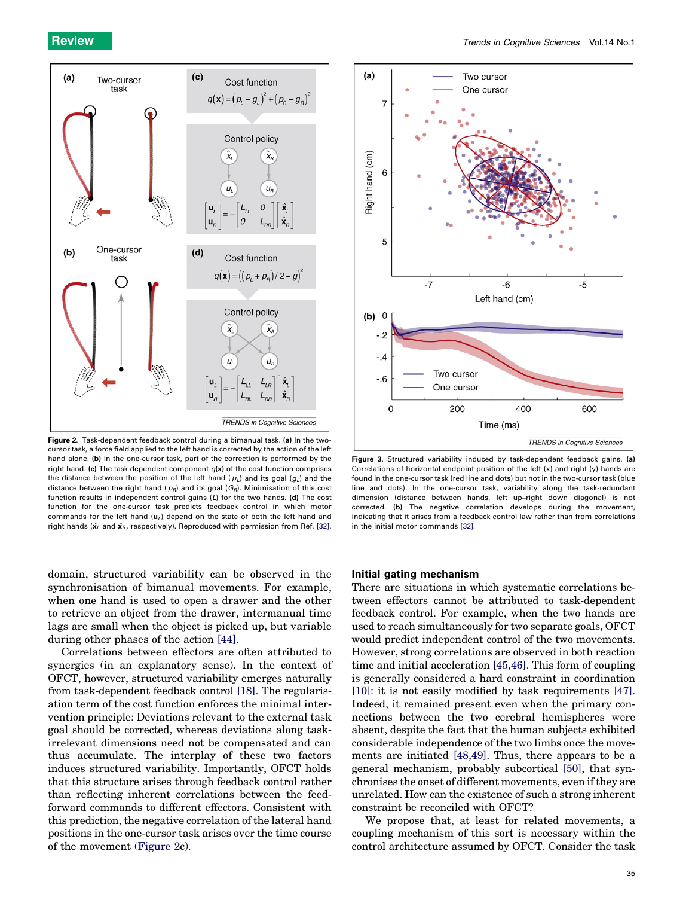<span id="page-4-0"></span>

Figure 2. Task-dependent feedback control during a bimanual task. (a) In the twocursor task, a force field applied to the left hand is corrected by the action of the left hand alone. (b) In the one-cursor task, part of the correction is performed by the right hand. (c) The task dependent component  $q(x)$  of the cost function comprises the distance between the position of the left hand ( $p<sub>L</sub>$ ) and its goal ( $g<sub>L</sub>$ ) and the distance between the right hand ( $p_B$ ) and its goal ( $G_B$ ). Minimisation of this cost function results in independent control gains  $(L)$  for the two hands. (d) The cost function for the one-cursor task predicts feedback control in which motor commands for the left hand  $(u_L)$  depend on the state of both the left hand and right hands ( $\hat{\mathbf{x}}_L$  and  $\hat{\mathbf{x}}_R$ , respectively). Reproduced with permission from Ref. [\[32\].](#page-7-0)

domain, structured variability can be observed in the synchronisation of bimanual movements. For example, when one hand is used to open a drawer and the other to retrieve an object from the drawer, intermanual time lags are small when the object is picked up, but variable during other phases of the action [\[44\]](#page-7-0).

Correlations between effectors are often attributed to synergies (in an explanatory sense). In the context of OFCT, however, structured variability emerges naturally from task-dependent feedback control [\[18\]](#page-7-0). The regularisation term of the cost function enforces the minimal intervention principle: Deviations relevant to the external task goal should be corrected, whereas deviations along taskirrelevant dimensions need not be compensated and can thus accumulate. The interplay of these two factors induces structured variability. Importantly, OFCT holds that this structure arises through feedback control rather than reflecting inherent correlations between the feedforward commands to different effectors. Consistent with this prediction, the negative correlation of the lateral hand positions in the one-cursor task arises over the time course of the movement (Figure 2c).



Figure 3. Structured variability induced by task-dependent feedback gains. (a) Correlations of horizontal endpoint position of the left (x) and right (y) hands are found in the one-cursor task (red line and dots) but not in the two-cursor task (blue line and dots). In the one-cursor task, variability along the task-redundant dimension (distance between hands, left up–right down diagonal) is not corrected. (b) The negative correlation develops during the movement, indicating that it arises from a feedback control law rather than from correlations in the initial motor commands [\[32\]](#page-7-0).

## Initial gating mechanism

There are situations in which systematic correlations between effectors cannot be attributed to task-dependent feedback control. For example, when the two hands are used to reach simultaneously for two separate goals, OFCT would predict independent control of the two movements. However, strong correlations are observed in both reaction time and initial acceleration [\[45,46\].](#page-7-0) This form of coupling is generally considered a hard constraint in coordination [\[10\]](#page-7-0): it is not easily modified by task requirements [\[47\]](#page-7-0). Indeed, it remained present even when the primary connections between the two cerebral hemispheres were absent, despite the fact that the human subjects exhibited considerable independence of the two limbs once the movements are initiated [\[48,49\].](#page-7-0) Thus, there appears to be a general mechanism, probably subcortical [\[50\]](#page-7-0), that synchronises the onset of different movements, even if they are unrelated. How can the existence of such a strong inherent constraint be reconciled with OFCT?

We propose that, at least for related movements, a coupling mechanism of this sort is necessary within the control architecture assumed by OFCT. Consider the task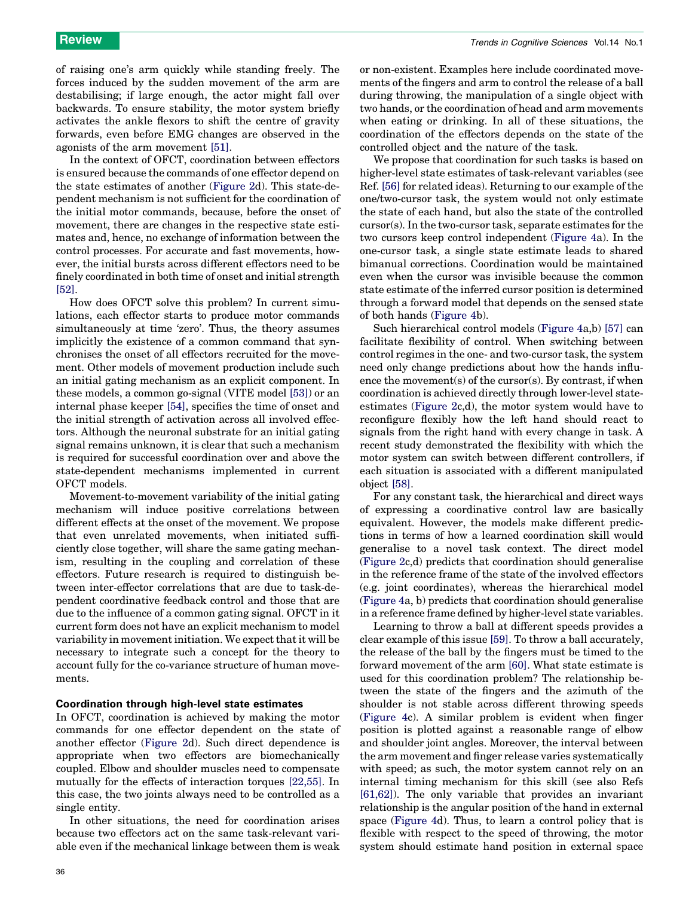of raising one's arm quickly while standing freely. The forces induced by the sudden movement of the arm are destabilising; if large enough, the actor might fall over backwards. To ensure stability, the motor system briefly activates the ankle flexors to shift the centre of gravity forwards, even before EMG changes are observed in the agonists of the arm movement [\[51\].](#page-7-0)

In the context of OFCT, coordination between effectors is ensured because the commands of one effector depend on the state estimates of another ([Figure 2d](#page-4-0)). This state-dependent mechanism is not sufficient for the coordination of the initial motor commands, because, before the onset of movement, there are changes in the respective state estimates and, hence, no exchange of information between the control processes. For accurate and fast movements, however, the initial bursts across different effectors need to be finely coordinated in both time of onset and initial strength [\[52\]](#page-7-0).

How does OFCT solve this problem? In current simulations, each effector starts to produce motor commands simultaneously at time 'zero'. Thus, the theory assumes implicitly the existence of a common command that synchronises the onset of all effectors recruited for the movement. Other models of movement production include such an initial gating mechanism as an explicit component. In these models, a common go-signal (VITE model [\[53\]\)](#page-7-0) or an internal phase keeper [\[54\]](#page-8-0), specifies the time of onset and the initial strength of activation across all involved effectors. Although the neuronal substrate for an initial gating signal remains unknown, it is clear that such a mechanism is required for successful coordination over and above the state-dependent mechanisms implemented in current OFCT models.

Movement-to-movement variability of the initial gating mechanism will induce positive correlations between different effects at the onset of the movement. We propose that even unrelated movements, when initiated sufficiently close together, will share the same gating mechanism, resulting in the coupling and correlation of these effectors. Future research is required to distinguish between inter-effector correlations that are due to task-dependent coordinative feedback control and those that are due to the influence of a common gating signal. OFCT in it current form does not have an explicit mechanism to model variability in movement initiation. We expect that it will be necessary to integrate such a concept for the theory to account fully for the co-variance structure of human movements.

## Coordination through high-level state estimates

In OFCT, coordination is achieved by making the motor commands for one effector dependent on the state of another effector ([Figure 2d](#page-4-0)). Such direct dependence is appropriate when two effectors are biomechanically coupled. Elbow and shoulder muscles need to compensate mutually for the effects of interaction torques [\[22,55\].](#page-7-0) In this case, the two joints always need to be controlled as a single entity.

In other situations, the need for coordination arises because two effectors act on the same task-relevant variable even if the mechanical linkage between them is weak or non-existent. Examples here include coordinated movements of the fingers and arm to control the release of a ball during throwing, the manipulation of a single object with two hands, or the coordination of head and arm movements when eating or drinking. In all of these situations, the coordination of the effectors depends on the state of the controlled object and the nature of the task.

We propose that coordination for such tasks is based on higher-level state estimates of task-relevant variables (see Ref. [\[56\]](#page-8-0) for related ideas). Returning to our example of the one/two-cursor task, the system would not only estimate the state of each hand, but also the state of the controlled cursor(s). In the two-cursor task, separate estimates for the two cursors keep control independent ([Figure 4](#page-6-0)a). In the one-cursor task, a single state estimate leads to shared bimanual corrections. Coordination would be maintained even when the cursor was invisible because the common state estimate of the inferred cursor position is determined through a forward model that depends on the sensed state of both hands ([Figure 4b](#page-6-0)).

Such hierarchical control models [\(Figure 4](#page-6-0)a,b) [\[57\]](#page-8-0) can facilitate flexibility of control. When switching between control regimes in the one- and two-cursor task, the system need only change predictions about how the hands influence the movement(s) of the cursor(s). By contrast, if when coordination is achieved directly through lower-level stateestimates [\(Figure 2c](#page-4-0),d), the motor system would have to reconfigure flexibly how the left hand should react to signals from the right hand with every change in task. A recent study demonstrated the flexibility with which the motor system can switch between different controllers, if each situation is associated with a different manipulated object [\[58\].](#page-8-0)

For any constant task, the hierarchical and direct ways of expressing a coordinative control law are basically equivalent. However, the models make different predictions in terms of how a learned coordination skill would generalise to a novel task context. The direct model ([Figure 2c](#page-4-0),d) predicts that coordination should generalise in the reference frame of the state of the involved effectors (e.g. joint coordinates), whereas the hierarchical model ([Figure 4](#page-6-0)a, b) predicts that coordination should generalise in a reference frame defined by higher-level state variables.

Learning to throw a ball at different speeds provides a clear example of this issue [\[59\]](#page-8-0). To throw a ball accurately, the release of the ball by the fingers must be timed to the forward movement of the arm [\[60\].](#page-8-0) What state estimate is used for this coordination problem? The relationship between the state of the fingers and the azimuth of the shoulder is not stable across different throwing speeds ([Figure 4](#page-6-0)c). A similar problem is evident when finger position is plotted against a reasonable range of elbow and shoulder joint angles. Moreover, the interval between the arm movement and finger release varies systematically with speed; as such, the motor system cannot rely on an internal timing mechanism for this skill (see also Refs [\[61,62\]](#page-8-0)). The only variable that provides an invariant relationship is the angular position of the hand in external space [\(Figure 4](#page-6-0)d). Thus, to learn a control policy that is flexible with respect to the speed of throwing, the motor system should estimate hand position in external space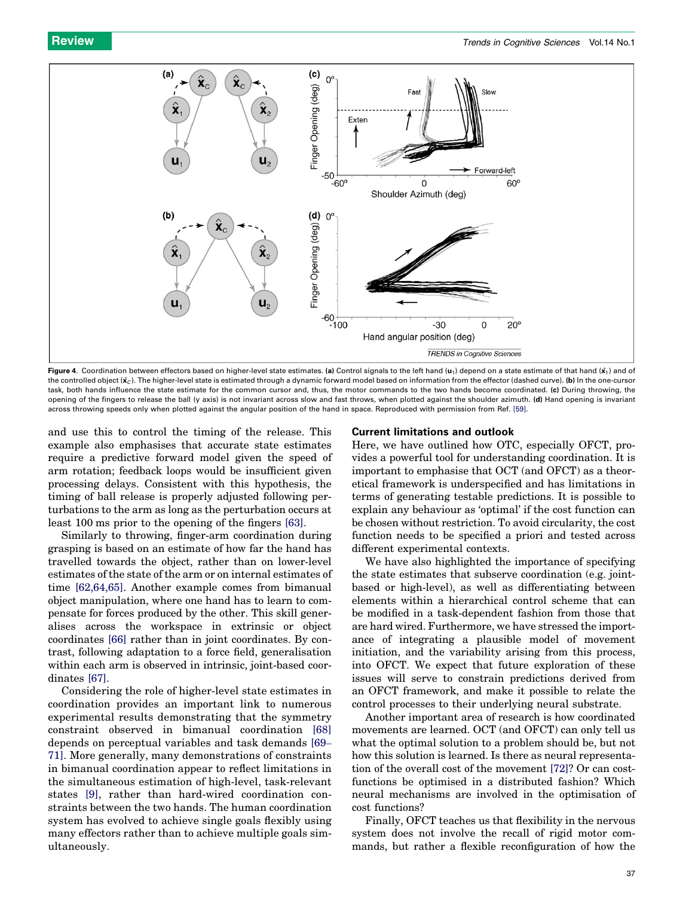<span id="page-6-0"></span>

Figure 4. Coordination between effectors based on higher-level state estimates. (a) Control signals to the left hand  $(u_1)$  depend on a state estimate of that hand  $(\hat{x_1})$  and of the controlled object ( $\hat{\mathbf{x}}_c$ ). The higher-level state is estimated through a dynamic forward model based on information from the effector (dashed curve). (**b**) In the one-cursor task, both hands influence the state estimate for the common cursor and, thus, the motor commands to the two hands become coordinated. (c) During throwing, the opening of the fingers to release the ball (y axis) is not invariant across slow and fast throws, when plotted against the shoulder azimuth. (d) Hand opening is invariant across throwing speeds only when plotted against the angular position of the hand in space. Reproduced with permission from Ref. [\[59\].](#page-8-0)

and use this to control the timing of the release. This example also emphasises that accurate state estimates require a predictive forward model given the speed of arm rotation; feedback loops would be insufficient given processing delays. Consistent with this hypothesis, the timing of ball release is properly adjusted following perturbations to the arm as long as the perturbation occurs at least 100 ms prior to the opening of the fingers [\[63\].](#page-8-0)

Similarly to throwing, finger-arm coordination during grasping is based on an estimate of how far the hand has travelled towards the object, rather than on lower-level estimates of the state of the arm or on internal estimates of time [\[62,64,65\]](#page-8-0). Another example comes from bimanual object manipulation, where one hand has to learn to compensate for forces produced by the other. This skill generalises across the workspace in extrinsic or object coordinates [\[66\]](#page-8-0) rather than in joint coordinates. By contrast, following adaptation to a force field, generalisation within each arm is observed in intrinsic, joint-based coordinates [\[67\]](#page-8-0).

Considering the role of higher-level state estimates in coordination provides an important link to numerous experimental results demonstrating that the symmetry constraint observed in bimanual coordination [\[68\]](#page-8-0) depends on perceptual variables and task demands [\[69](#page-8-0)– [71\]](#page-8-0). More generally, many demonstrations of constraints in bimanual coordination appear to reflect limitations in the simultaneous estimation of high-level, task-relevant states [\[9\]](#page-7-0), rather than hard-wired coordination constraints between the two hands. The human coordination system has evolved to achieve single goals flexibly using many effectors rather than to achieve multiple goals simultaneously.

### Current limitations and outlook

Here, we have outlined how OTC, especially OFCT, provides a powerful tool for understanding coordination. It is important to emphasise that OCT (and OFCT) as a theoretical framework is underspecified and has limitations in terms of generating testable predictions. It is possible to explain any behaviour as 'optimal' if the cost function can be chosen without restriction. To avoid circularity, the cost function needs to be specified a priori and tested across different experimental contexts.

We have also highlighted the importance of specifying the state estimates that subserve coordination (e.g. jointbased or high-level), as well as differentiating between elements within a hierarchical control scheme that can be modified in a task-dependent fashion from those that are hard wired. Furthermore, we have stressed the importance of integrating a plausible model of movement initiation, and the variability arising from this process, into OFCT. We expect that future exploration of these issues will serve to constrain predictions derived from an OFCT framework, and make it possible to relate the control processes to their underlying neural substrate.

Another important area of research is how coordinated movements are learned. OCT (and OFCT) can only tell us what the optimal solution to a problem should be, but not how this solution is learned. Is there as neural representation of the overall cost of the movement [\[72\]](#page-8-0)? Or can costfunctions be optimised in a distributed fashion? Which neural mechanisms are involved in the optimisation of cost functions?

Finally, OFCT teaches us that flexibility in the nervous system does not involve the recall of rigid motor commands, but rather a flexible reconfiguration of how the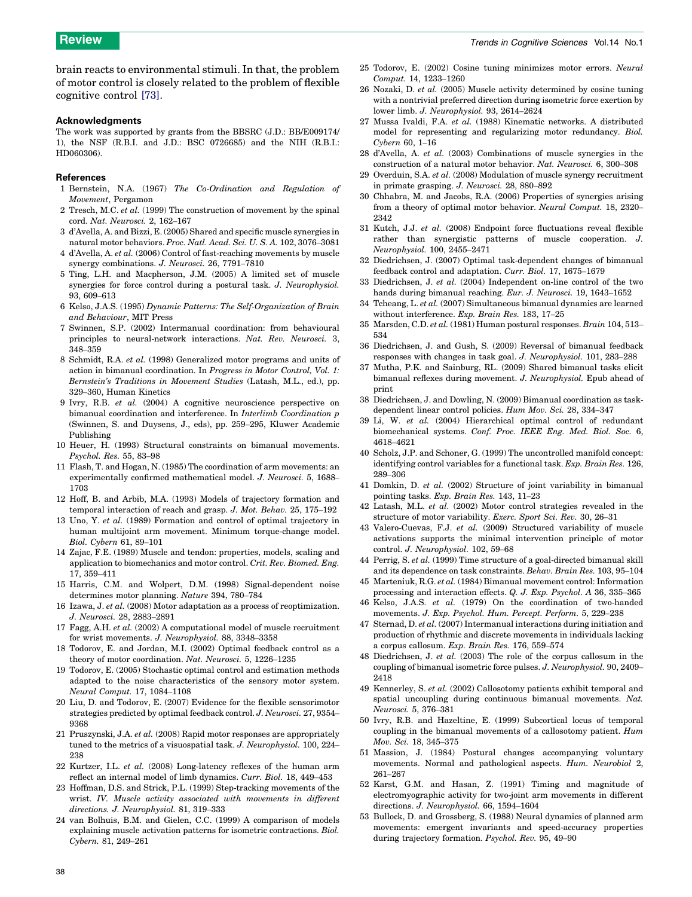<span id="page-7-0"></span>brain reacts to environmental stimuli. In that, the problem of motor control is closely related to the problem of flexible cognitive control [\[73\]](#page-8-0).

#### Acknowledgments

The work was supported by grants from the BBSRC (J.D.: BB/E009174/ 1), the NSF (R.B.I. and J.D.: BSC 0726685) and the NIH (R.B.I.: HD060306).

#### References

- 1 Bernstein, N.A. (1967) The Co-Ordination and Regulation of Movement, Pergamon
- 2 Tresch, M.C. et al. (1999) The construction of movement by the spinal cord. Nat. Neurosci. 2, 162–167
- 3 d'Avella, A. and Bizzi, E. (2005) Shared and specific muscle synergies in natural motor behaviors. Proc. Natl. Acad. Sci. U. S. A. 102, 3076–3081
- 4 d'Avella, A. et al. (2006) Control of fast-reaching movements by muscle synergy combinations. J. Neurosci. 26, 7791–7810
- 5 Ting, L.H. and Macpherson, J.M. (2005) A limited set of muscle synergies for force control during a postural task. J. Neurophysiol. 93, 609–613
- 6 Kelso, J.A.S. (1995) Dynamic Patterns: The Self-Organization of Brain and Behaviour, MIT Press
- 7 Swinnen, S.P. (2002) Intermanual coordination: from behavioural principles to neural-network interactions. Nat. Rev. Neurosci. 3, 348–359
- 8 Schmidt, R.A. et al. (1998) Generalized motor programs and units of action in bimanual coordination. In Progress in Motor Control, Vol. 1: Bernstein's Traditions in Movement Studies (Latash, M.L., ed.), pp. 329–360, Human Kinetics
- 9 Ivry, R.B. et al. (2004) A cognitive neuroscience perspective on bimanual coordination and interference. In Interlimb Coordination p (Swinnen, S. and Duysens, J., eds), pp. 259–295, Kluwer Academic Publishing
- 10 Heuer, H. (1993) Structural constraints on bimanual movements. Psychol. Res. 55, 83–98
- 11 Flash, T. and Hogan, N. (1985) The coordination of arm movements: an experimentally confirmed mathematical model. J. Neurosci. 5, 1688– 1703
- 12 Hoff, B. and Arbib, M.A. (1993) Models of trajectory formation and temporal interaction of reach and grasp. J. Mot. Behav. 25, 175–192
- 13 Uno, Y. et al. (1989) Formation and control of optimal trajectory in human multijoint arm movement. Minimum torque-change model. Biol. Cybern 61, 89–101
- 14 Zajac, F.E. (1989) Muscle and tendon: properties, models, scaling and application to biomechanics and motor control. Crit. Rev. Biomed. Eng. 17, 359–411
- 15 Harris, C.M. and Wolpert, D.M. (1998) Signal-dependent noise determines motor planning. Nature 394, 780–784
- 16 Izawa, J. et al. (2008) Motor adaptation as a process of reoptimization. J. Neurosci. 28, 2883–2891
- 17 Fagg, A.H. et al. (2002) A computational model of muscle recruitment for wrist movements. J. Neurophysiol. 88, 3348–3358
- 18 Todorov, E. and Jordan, M.I. (2002) Optimal feedback control as a theory of motor coordination. Nat. Neurosci. 5, 1226–1235
- 19 Todorov, E. (2005) Stochastic optimal control and estimation methods adapted to the noise characteristics of the sensory motor system. Neural Comput. 17, 1084–1108
- 20 Liu, D. and Todorov, E. (2007) Evidence for the flexible sensorimotor strategies predicted by optimal feedback control. J. Neurosci. 27, 9354– 9368
- 21 Pruszynski, J.A. et al. (2008) Rapid motor responses are appropriately tuned to the metrics of a visuospatial task. J. Neurophysiol. 100, 224– 238
- 22 Kurtzer, I.L. et al. (2008) Long-latency reflexes of the human arm reflect an internal model of limb dynamics. Curr. Biol. 18, 449–453
- 23 Hoffman, D.S. and Strick, P.L. (1999) Step-tracking movements of the wrist. IV. Muscle activity associated with movements in different directions. J. Neurophysiol. 81, 319–333
- 24 van Bolhuis, B.M. and Gielen, C.C. (1999) A comparison of models explaining muscle activation patterns for isometric contractions. Biol. Cybern. 81, 249–261
- 25 Todorov, E. (2002) Cosine tuning minimizes motor errors. Neural Comput. 14, 1233–1260
- 26 Nozaki, D. et al. (2005) Muscle activity determined by cosine tuning with a nontrivial preferred direction during isometric force exertion by lower limb. J. Neurophysiol. 93, 2614–2624
- 27 Mussa Ivaldi, F.A. et al. (1988) Kinematic networks. A distributed model for representing and regularizing motor redundancy. Biol. Cybern 60, 1–16
- 28 d'Avella, A. et al. (2003) Combinations of muscle synergies in the construction of a natural motor behavior. Nat. Neurosci. 6, 300–308
- 29 Overduin, S.A. et al. (2008) Modulation of muscle synergy recruitment in primate grasping. J. Neurosci. 28, 880–892
- 30 Chhabra, M. and Jacobs, R.A. (2006) Properties of synergies arising from a theory of optimal motor behavior. Neural Comput. 18, 2320– 2342
- 31 Kutch, J.J. et al. (2008) Endpoint force fluctuations reveal flexible rather than synergistic patterns of muscle cooperation. J. Neurophysiol. 100, 2455–2471
- 32 Diedrichsen, J. (2007) Optimal task-dependent changes of bimanual feedback control and adaptation. Curr. Biol. 17, 1675–1679
- 33 Diedrichsen, J. et al. (2004) Independent on-line control of the two hands during bimanual reaching. Eur. J. Neurosci. 19, 1643–1652
- 34 Tcheang, L. et al. (2007) Simultaneous bimanual dynamics are learned without interference. Exp. Brain Res. 183, 17–25
- 35 Marsden, C.D. et al. (1981) Human postural responses. Brain 104, 513– 534
- 36 Diedrichsen, J. and Gush, S. (2009) Reversal of bimanual feedback responses with changes in task goal. J. Neurophysiol. 101, 283–288
- 37 Mutha, P.K. and Sainburg, RL. (2009) Shared bimanual tasks elicit bimanual reflexes during movement. J. Neurophysiol. Epub ahead of print
- 38 Diedrichsen, J. and Dowling, N. (2009) Bimanual coordination as taskdependent linear control policies. Hum Mov. Sci. 28, 334–347
- 39 Li, W. et al. (2004) Hierarchical optimal control of redundant biomechanical systems. Conf. Proc. IEEE Eng. Med. Biol. Soc. 6, 4618–4621
- 40 Scholz, J.P. and Schoner, G. (1999) The uncontrolled manifold concept: identifying control variables for a functional task. Exp. Brain Res. 126, 289–306
- 41 Domkin, D. et al. (2002) Structure of joint variability in bimanual pointing tasks. Exp. Brain Res. 143, 11–23
- 42 Latash, M.L. et al. (2002) Motor control strategies revealed in the structure of motor variability. Exerc. Sport Sci. Rev. 30, 26–31
- 43 Valero-Cuevas, F.J. et al. (2009) Structured variability of muscle activations supports the minimal intervention principle of motor control. J. Neurophysiol. 102, 59–68
- 44 Perrig, S. et al. (1999) Time structure of a goal-directed bimanual skill and its dependence on task constraints. Behav. Brain Res. 103, 95–104
- 45 Marteniuk, R.G. et al. (1984) Bimanual movement control: Information processing and interaction effects. Q. J. Exp. Psychol. A 36, 335–365
- 46 Kelso, J.A.S. et al. (1979) On the coordination of two-handed movements. J. Exp. Psychol. Hum. Percept. Perform. 5, 229–238
- 47 Sternad, D. et al. (2007) Intermanual interactions during initiation and production of rhythmic and discrete movements in individuals lacking a corpus callosum. Exp. Brain Res. 176, 559–574
- 48 Diedrichsen, J. et al. (2003) The role of the corpus callosum in the coupling of bimanual isometric force pulses. J. Neurophysiol. 90, 2409– 2418
- 49 Kennerley, S. et al. (2002) Callosotomy patients exhibit temporal and spatial uncoupling during continuous bimanual movements. Nat. Neurosci. 5, 376–381
- 50 Ivry, R.B. and Hazeltine, E. (1999) Subcortical locus of temporal coupling in the bimanual movements of a callosotomy patient. Hum Mov. Sci. 18, 345–375
- 51 Massion, J. (1984) Postural changes accompanying voluntary movements. Normal and pathological aspects. Hum. Neurobiol 2, 261–267
- 52 Karst, G.M. and Hasan, Z. (1991) Timing and magnitude of electromyographic activity for two-joint arm movements in different directions. J. Neurophysiol. 66, 1594–1604
- 53 Bullock, D. and Grossberg, S. (1988) Neural dynamics of planned arm movements: emergent invariants and speed-accuracy properties during trajectory formation. Psychol. Rev. 95, 49–90